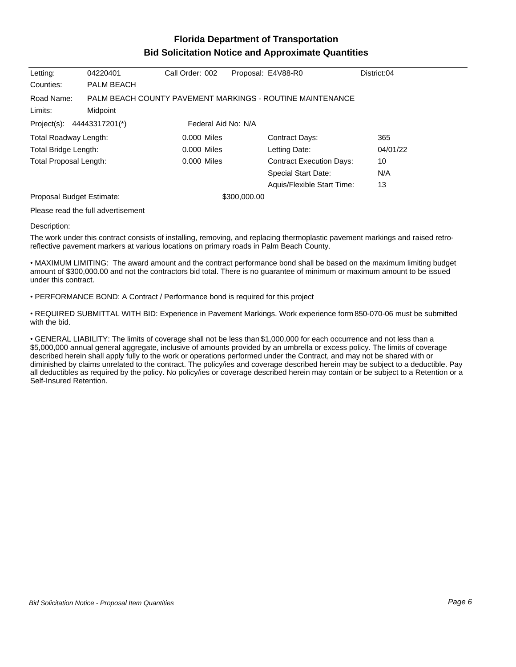## **Florida Department of Transportation Bid Solicitation Notice and Approximate Quantities**

| Letting:                                          | 04220401   | Call Order: 002 |  | Proposal: E4V88-R0                                        | District:04 |
|---------------------------------------------------|------------|-----------------|--|-----------------------------------------------------------|-------------|
| Counties:                                         | PALM BEACH |                 |  |                                                           |             |
| Road Name:                                        |            |                 |  | PALM BEACH COUNTY PAVEMENT MARKINGS - ROUTINE MAINTENANCE |             |
| Limits:                                           | Midpoint   |                 |  |                                                           |             |
| Project(s): 44443317201(*)<br>Federal Aid No: N/A |            |                 |  |                                                           |             |
| Total Roadway Length:                             |            | 0.000 Miles     |  | <b>Contract Days:</b>                                     | 365         |
| Total Bridge Length:                              |            | 0.000 Miles     |  | Letting Date:                                             | 04/01/22    |
| <b>Total Proposal Length:</b>                     |            | 0.000 Miles     |  | <b>Contract Execution Days:</b>                           | 10          |
|                                                   |            |                 |  | Special Start Date:                                       | N/A         |
|                                                   |            |                 |  | Aquis/Flexible Start Time:                                | 13          |
| Proposal Budget Estimate:                         |            | \$300,000.00    |  |                                                           |             |
|                                                   |            |                 |  |                                                           |             |

Please read the full advertisement

## Description:

The work under this contract consists of installing, removing, and replacing thermoplastic pavement markings and raised retroreflective pavement markers at various locations on primary roads in Palm Beach County.

MAXIMUM LIMITING: The award amount and the contract performance bond shall be based on the maximum limiting budget amount of \$300,000.00 and not the contractors bid total. There is no guarantee of minimum or maximum amount to be issued under this contract.

PERFORMANCE BOND: A Contract / Performance bond is required for this project

REQUIRED SUBMITTAL WITH BID: Experience in Pavement Markings. Work experience form 850-070-06 must be submitted with the bid.

GENERAL LIABILITY: The limits of coverage shall not be less than \$1,000,000 for each occurrence and not less than a \$5,000,000 annual general aggregate, inclusive of amounts provided by an umbrella or excess policy. The limits of coverage described herein shall apply fully to the work or operations performed under the Contract, and may not be shared with or diminished by claims unrelated to the contract. The policy/ies and coverage described herein may be subject to a deductible. Pay all deductibles as required by the policy. No policy/ies or coverage described herein may contain or be subject to a Retention or a Self-Insured Retention.